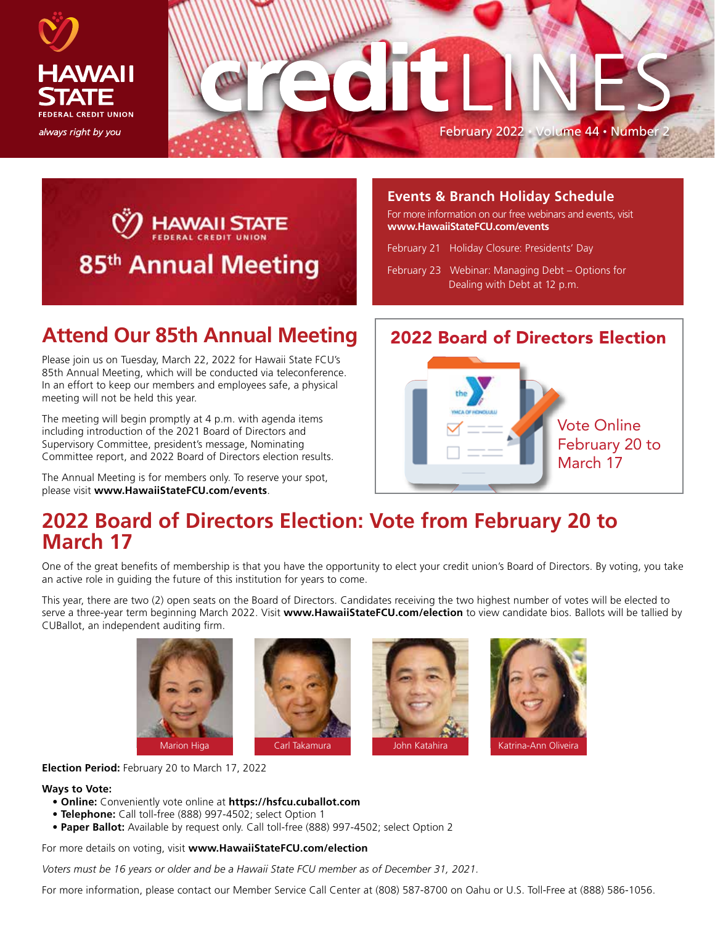





### **Events & Branch Holiday Schedule**

For more information on our free webinars and events, visit **www.HawaiiStateFCU.com/events**

February 21 Holiday Closure: Presidents' Day

February 23 Webinar: Managing Debt – Options for Dealing with Debt at 12 p.m.

## **Attend Our 85th Annual Meeting**

Please join us on Tuesday, March 22, 2022 for Hawaii State FCU's 85th Annual Meeting, which will be conducted via teleconference. In an effort to keep our members and employees safe, a physical meeting will not be held this year.

The meeting will begin promptly at 4 p.m. with agenda items including introduction of the 2021 Board of Directors and Supervisory Committee, president's message, Nominating Committee report, and 2022 Board of Directors election results.

The Annual Meeting is for members only. To reserve your spot, please visit **www.HawaiiStateFCU.com/events**.

### 2022 Board of Directors Election



## **2022 Board of Directors Election: Vote from February 20 to March 17**

One of the great benefits of membership is that you have the opportunity to elect your credit union's Board of Directors. By voting, you take an active role in guiding the future of this institution for years to come.

This year, there are two (2) open seats on the Board of Directors. Candidates receiving the two highest number of votes will be elected to serve a three-year term beginning March 2022. Visit **www.HawaiiStateFCU.com/election** to view candidate bios. Ballots will be tallied by CUBallot, an independent auditing firm.









**Election Period:** February 20 to March 17, 2022

#### **Ways to Vote:**

- **Online:** Conveniently vote online at **https://hsfcu.cuballot.com**
- **Telephone:** Call toll-free (888) 997-4502; select Option 1
- **Paper Ballot:** Available by request only. Call toll-free (888) 997-4502; select Option 2

For more details on voting, visit **www.HawaiiStateFCU.com/election**

*Voters must be 16 years or older and be a Hawaii State FCU member as of December 31, 2021.*

For more information, please contact our Member Service Call Center at (808) 587-8700 on Oahu or U.S. Toll-Free at (888) 586-1056.